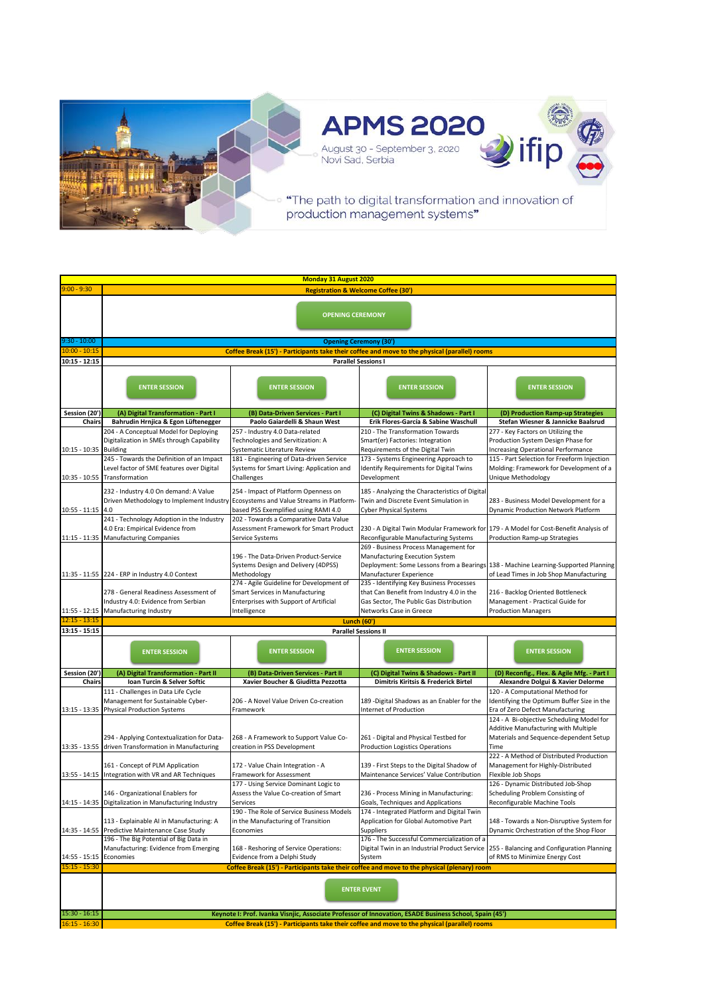

| $9:00 - 9:30$   | <b>Monday 31 August 2020</b>                                                                                                                                                                            |                                                                                 |                                                                                                                                |                                                                                    |  |
|-----------------|---------------------------------------------------------------------------------------------------------------------------------------------------------------------------------------------------------|---------------------------------------------------------------------------------|--------------------------------------------------------------------------------------------------------------------------------|------------------------------------------------------------------------------------|--|
|                 | <b>Registration &amp; Welcome Coffee (30')</b>                                                                                                                                                          |                                                                                 |                                                                                                                                |                                                                                    |  |
|                 |                                                                                                                                                                                                         |                                                                                 |                                                                                                                                |                                                                                    |  |
|                 | <b>OPENING CEREMONY</b>                                                                                                                                                                                 |                                                                                 |                                                                                                                                |                                                                                    |  |
|                 |                                                                                                                                                                                                         |                                                                                 |                                                                                                                                |                                                                                    |  |
| $9:30 - 10:00$  |                                                                                                                                                                                                         |                                                                                 |                                                                                                                                |                                                                                    |  |
| $10:00 - 10:15$ |                                                                                                                                                                                                         |                                                                                 | <b>Opening Ceremony (30')</b><br>Coffee Break (15') - Participants take their coffee and move to the physical (parallel) rooms |                                                                                    |  |
| $10:15 - 12:15$ |                                                                                                                                                                                                         |                                                                                 | <b>Parallel Sessions I</b>                                                                                                     |                                                                                    |  |
|                 |                                                                                                                                                                                                         |                                                                                 |                                                                                                                                |                                                                                    |  |
|                 |                                                                                                                                                                                                         |                                                                                 |                                                                                                                                |                                                                                    |  |
|                 | <b>ENTER SESSION</b>                                                                                                                                                                                    | <b>ENTER SESSION</b>                                                            | <b>ENTER SESSION</b>                                                                                                           | <b>ENTER SESSION</b>                                                               |  |
|                 |                                                                                                                                                                                                         |                                                                                 |                                                                                                                                |                                                                                    |  |
| Session (20')   | (A) Digital Transformation - Part I                                                                                                                                                                     | (B) Data-Driven Services - Part I                                               | (C) Digital Twins & Shadows - Part I                                                                                           | (D) Production Ramp-up Strategies                                                  |  |
| Chairs          | Bahrudin Hrnjica & Egon Lüftenegger                                                                                                                                                                     | Paolo Gaiardelli & Shaun West                                                   | Erik Flores-García & Sabine Waschull                                                                                           | Stefan Wiesner & Jannicke Baalsrud                                                 |  |
|                 | 204 - A Conceptual Model for Deploying                                                                                                                                                                  | 257 - Industry 4.0 Data-related                                                 | 210 - The Transformation Towards                                                                                               | 277 - Key Factors on Utilizing the                                                 |  |
|                 | Digitalization in SMEs through Capability                                                                                                                                                               | Technologies and Servitization: A                                               | Smart(er) Factories: Integration                                                                                               | Production System Design Phase for                                                 |  |
| $10:15 - 10:35$ | <b>Building</b>                                                                                                                                                                                         | Systematic Literature Review                                                    | Requirements of the Digital Twin                                                                                               | <b>Increasing Operational Performance</b>                                          |  |
|                 | 245 - Towards the Definition of an Impact                                                                                                                                                               | 181 - Engineering of Data-driven Service                                        | 173 - Systems Engineering Approach to                                                                                          | 115 - Part Selection for Freeform Injection                                        |  |
|                 | Level factor of SME features over Digital                                                                                                                                                               | Systems for Smart Living: Application and                                       | Identify Requirements for Digital Twins                                                                                        | Molding: Framework for Development of a                                            |  |
|                 | 10:35 - 10:55 Transformation                                                                                                                                                                            | Challenges                                                                      | Development                                                                                                                    | Unique Methodology                                                                 |  |
|                 | 232 - Industry 4.0 On demand: A Value                                                                                                                                                                   | 254 - Impact of Platform Openness on                                            | 185 - Analyzing the Characteristics of Digital                                                                                 |                                                                                    |  |
|                 | Driven Methodology to Implement Industry Ecosystems and Value Streams in Platform-                                                                                                                      |                                                                                 | Twin and Discrete Event Simulation in                                                                                          | 283 - Business Model Development for a                                             |  |
| $10:55 - 11:15$ | 4.0                                                                                                                                                                                                     | based PSS Exemplified using RAMI 4.0                                            | <b>Cyber Physical Systems</b>                                                                                                  | Dynamic Production Network Platform                                                |  |
|                 | 241 - Technology Adoption in the Industry                                                                                                                                                               | 202 - Towards a Comparative Data Value                                          |                                                                                                                                |                                                                                    |  |
| $11:15 - 11:35$ | 4.0 Era: Empirical Evidence from<br><b>Manufacturing Companies</b>                                                                                                                                      | Assessment Framework for Smart Product<br>Service Systems                       | 230 - A Digital Twin Modular Framework for 179 - A Model for Cost-Benefit Analysis of<br>Reconfigurable Manufacturing Systems  | Production Ramp-up Strategies                                                      |  |
|                 |                                                                                                                                                                                                         |                                                                                 | 269 - Business Process Management for                                                                                          |                                                                                    |  |
|                 |                                                                                                                                                                                                         | 196 - The Data-Driven Product-Service                                           | Manufacturing Execution System                                                                                                 |                                                                                    |  |
|                 |                                                                                                                                                                                                         | Systems Design and Delivery (4DPSS)                                             |                                                                                                                                | Deployment: Some Lessons from a Bearings 138 - Machine Learning-Supported Planning |  |
|                 | 11:35 - 11:55 224 - ERP in Industry 4.0 Context                                                                                                                                                         | Methodology                                                                     | Manufacturer Experience                                                                                                        | of Lead Times in Job Shop Manufacturing                                            |  |
|                 |                                                                                                                                                                                                         | 274 - Agile Guideline for Development of                                        | 235 - Identifying Key Business Processes                                                                                       |                                                                                    |  |
|                 | 278 - General Readiness Assessment of                                                                                                                                                                   | <b>Smart Services in Manufacturing</b>                                          | that Can Benefit from Industry 4.0 in the                                                                                      | 216 - Backlog Oriented Bottleneck                                                  |  |
| $11:55 - 12:15$ | Industry 4.0: Evidence from Serbian<br>Manufacturing Industry                                                                                                                                           | Enterprises with Support of Artificial<br>Intelligence                          | Gas Sector, The Public Gas Distribution<br>Networks Case in Greece                                                             | Management - Practical Guide for<br><b>Production Managers</b>                     |  |
| $12:15 - 13:15$ |                                                                                                                                                                                                         | <b>Lunch (60')</b>                                                              |                                                                                                                                |                                                                                    |  |
| $13:15 - 15:15$ |                                                                                                                                                                                                         |                                                                                 | <b>Parallel Sessions II</b>                                                                                                    |                                                                                    |  |
|                 |                                                                                                                                                                                                         |                                                                                 |                                                                                                                                |                                                                                    |  |
|                 | <b>ENTER SESSION</b>                                                                                                                                                                                    | <b>ENTER SESSION</b>                                                            | <b>ENTER SESSION</b>                                                                                                           | <b>ENTER SESSION</b>                                                               |  |
|                 |                                                                                                                                                                                                         |                                                                                 |                                                                                                                                |                                                                                    |  |
| Session (20')   | (A) Digital Transformation - Part II                                                                                                                                                                    | (B) Data-Driven Services - Part II                                              | (C) Digital Twins & Shadows - Part II                                                                                          | (D) Reconfig., Flex. & Agile Mfg. - Part I                                         |  |
| Chairs          | Ioan Turcin & Selver Softic                                                                                                                                                                             | Xavier Boucher & Giuditta Pezzotta                                              | Dimitris Kiritsis & Frederick Birtel                                                                                           | Alexandre Dolgui & Xavier Delorme                                                  |  |
|                 | 111 - Challenges in Data Life Cycle                                                                                                                                                                     |                                                                                 |                                                                                                                                | 120 - A Computational Method for                                                   |  |
|                 | Management for Sustainable Cyber-                                                                                                                                                                       | 206 - A Novel Value Driven Co-creation                                          | 189 -Digital Shadows as an Enabler for the                                                                                     | Identifying the Optimum Buffer Size in the                                         |  |
|                 | 13:15 - 13:35 Physical Production Systems                                                                                                                                                               | Framework                                                                       | Internet of Production                                                                                                         | Era of Zero Defect Manufacturing                                                   |  |
|                 |                                                                                                                                                                                                         |                                                                                 |                                                                                                                                | 124 - A Bi-objective Scheduling Model for                                          |  |
|                 |                                                                                                                                                                                                         | 268 - A Framework to Support Value Co-                                          | 261 - Digital and Physical Testbed for                                                                                         | Additive Manufacturing with Multiple                                               |  |
|                 | 294 - Applying Contextualization for Data-<br>13:35 - 13:55 driven Transformation in Manufacturing                                                                                                      | creation in PSS Development                                                     | <b>Production Logistics Operations</b>                                                                                         | Materials and Sequence-dependent Setup<br>Time                                     |  |
|                 |                                                                                                                                                                                                         |                                                                                 |                                                                                                                                | 222 - A Method of Distributed Production                                           |  |
|                 | 161 - Concept of PLM Application                                                                                                                                                                        | 172 - Value Chain Integration - A                                               | 139 - First Steps to the Digital Shadow of                                                                                     | Management for Highly-Distributed                                                  |  |
|                 | 13:55 - 14:15 Integration with VR and AR Techniques                                                                                                                                                     | Framework for Assessment                                                        | Maintenance Services' Value Contribution                                                                                       | Flexible Job Shops                                                                 |  |
|                 |                                                                                                                                                                                                         | 177 - Using Service Dominant Logic to                                           |                                                                                                                                | 126 - Dynamic Distributed Job-Shop                                                 |  |
|                 | 146 - Organizational Enablers for                                                                                                                                                                       | Assess the Value Co-creation of Smart                                           | 236 - Process Mining in Manufacturing:                                                                                         | Scheduling Problem Consisting of                                                   |  |
|                 | 14:15 - 14:35 Digitalization in Manufacturing Industry                                                                                                                                                  | Services                                                                        | Goals, Techniques and Applications                                                                                             | Reconfigurable Machine Tools                                                       |  |
|                 | 113 - Explainable AI in Manufacturing: A                                                                                                                                                                | 190 - The Role of Service Business Models<br>in the Manufacturing of Transition | 174 - Integrated Platform and Digital Twin<br>Application for Global Automotive Part                                           | 148 - Towards a Non-Disruptive System for                                          |  |
| 14:35 - 14:55   | Predictive Maintenance Case Study                                                                                                                                                                       | Economies                                                                       | Suppliers                                                                                                                      | Dynamic Orchestration of the Shop Floor                                            |  |
|                 | 196 - The Big Potential of Big Data in                                                                                                                                                                  |                                                                                 | 176 - The Successful Commercialization of a                                                                                    |                                                                                    |  |
|                 | Manufacturing: Evidence from Emerging                                                                                                                                                                   | 168 - Reshoring of Service Operations:                                          | Digital Twin in an Industrial Product Service                                                                                  | 255 - Balancing and Configuration Planning                                         |  |
| 14:55 - 15:15   | Economies                                                                                                                                                                                               | Evidence from a Delphi Study                                                    | System                                                                                                                         | of RMS to Minimize Energy Cost                                                     |  |
| $15:15 - 15:30$ |                                                                                                                                                                                                         |                                                                                 | Coffee Break (15') - Participants take their coffee and move to the physical (plenary) room                                    |                                                                                    |  |
|                 |                                                                                                                                                                                                         |                                                                                 |                                                                                                                                |                                                                                    |  |
|                 | <b>ENTER EVENT</b>                                                                                                                                                                                      |                                                                                 |                                                                                                                                |                                                                                    |  |
|                 |                                                                                                                                                                                                         |                                                                                 |                                                                                                                                |                                                                                    |  |
| $15:30 - 16:15$ |                                                                                                                                                                                                         |                                                                                 |                                                                                                                                |                                                                                    |  |
| $16:15 - 16:30$ | Keynote I: Prof. Ivanka Visnjic, Associate Professor of Innovation, ESADE Business School, Spain (45')<br>Coffee Break (15') - Participants take their coffee and move to the physical (parallel) rooms |                                                                                 |                                                                                                                                |                                                                                    |  |
|                 |                                                                                                                                                                                                         |                                                                                 |                                                                                                                                |                                                                                    |  |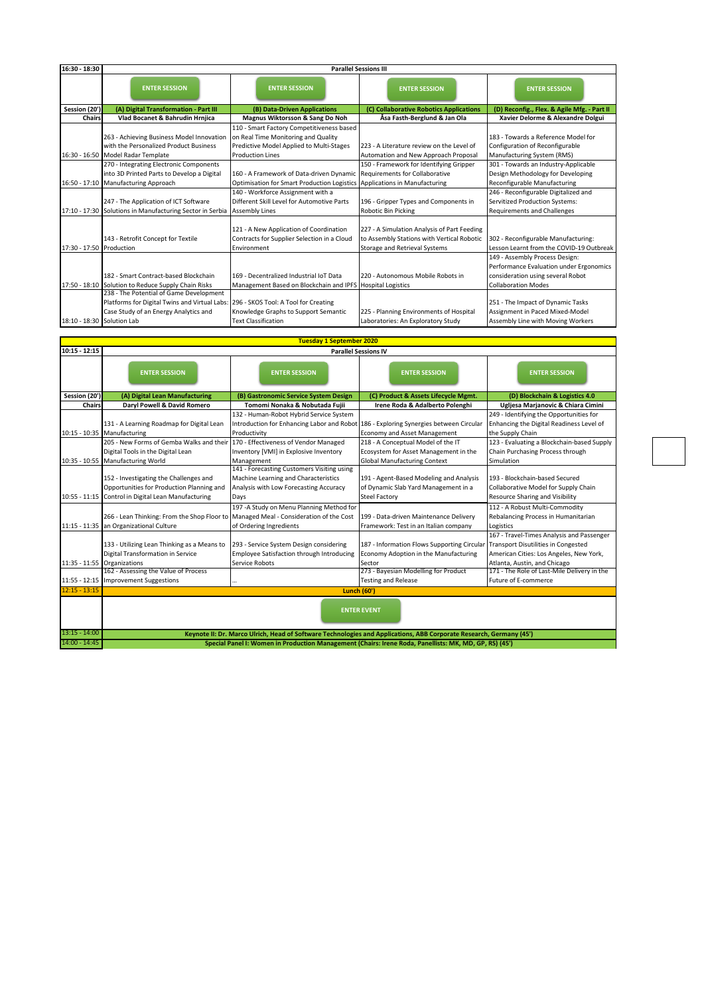| 16:30 - 18:30              | <b>Parallel Sessions III</b>                                                                                                                                           |                                                                                                                                                      |                                                                                                                            |                                                                                                                                              |
|----------------------------|------------------------------------------------------------------------------------------------------------------------------------------------------------------------|------------------------------------------------------------------------------------------------------------------------------------------------------|----------------------------------------------------------------------------------------------------------------------------|----------------------------------------------------------------------------------------------------------------------------------------------|
|                            | <b>ENTER SESSION</b>                                                                                                                                                   | <b>ENTER SESSION</b>                                                                                                                                 | <b>ENTER SESSION</b>                                                                                                       | <b>ENTER SESSION</b>                                                                                                                         |
| Session (20')              | (A) Digital Transformation - Part III                                                                                                                                  | (B) Data-Driven Applications                                                                                                                         | (C) Collaborative Robotics Applications                                                                                    | (D) Reconfig., Flex. & Agile Mfg. - Part II                                                                                                  |
| <b>Chairs</b>              | Vlad Bocanet & Bahrudin Hrnjica                                                                                                                                        | Magnus Wiktorsson & Sang Do Noh                                                                                                                      | Åsa Fasth-Berglund & Jan Ola                                                                                               | Xavier Delorme & Alexandre Dolgui                                                                                                            |
|                            | 263 - Achieving Business Model Innovation<br>with the Personalized Product Business                                                                                    | 110 - Smart Factory Competitiveness based<br>on Real Time Monitoring and Quality<br>Predictive Model Applied to Multi-Stages                         | 223 - A Literature review on the Level of                                                                                  | 183 - Towards a Reference Model for<br>Configuration of Reconfigurable                                                                       |
|                            | 16:30 - 16:50 Model Radar Template                                                                                                                                     | <b>Production Lines</b>                                                                                                                              | Automation and New Approach Proposal                                                                                       | Manufacturing System (RMS)                                                                                                                   |
| $16:50 - 17:10$            | 270 - Integrating Electronic Components<br>into 3D Printed Parts to Develop a Digital<br><b>Manufacturing Approach</b>                                                 | 160 - A Framework of Data-driven Dynamic Requirements for Collaborative<br>Optimisation for Smart Production Logistics Applications in Manufacturing | 150 - Framework for Identifying Gripper                                                                                    | 301 - Towards an Industry-Applicable<br>Design Methodology for Developing<br>Reconfigurable Manufacturing                                    |
|                            | 247 - The Application of ICT Software<br>17:10 - 17:30 Solutions in Manufacturing Sector in Serbia                                                                     | 140 - Workforce Assignment with a<br>Different Skill Level for Automotive Parts<br><b>Assembly Lines</b>                                             | 196 - Gripper Types and Components in<br>Robotic Bin Picking                                                               | 246 - Reconfigurable Digitalized and<br><b>Servitized Production Systems:</b><br><b>Requirements and Challenges</b>                          |
| 17:30 - 17:50 Production   | 143 - Retrofit Concept for Textile                                                                                                                                     | 121 - A New Application of Coordination<br>Contracts for Supplier Selection in a Cloud<br>Environment                                                | 227 - A Simulation Analysis of Part Feeding<br>to Assembly Stations with Vertical Robotic<br>Storage and Retrieval Systems | 302 - Reconfigurable Manufacturing:<br>Lesson Learnt from the COVID-19 Outbreak                                                              |
|                            | 182 - Smart Contract-based Blockchain<br>17:50 - 18:10 Solution to Reduce Supply Chain Risks                                                                           | 169 - Decentralized Industrial IoT Data<br>Management Based on Blockchain and IPFS Hospital Logistics                                                | 220 - Autonomous Mobile Robots in                                                                                          | 149 - Assembly Process Design:<br>Performance Evaluation under Ergonomics<br>consideration using several Robot<br><b>Collaboration Modes</b> |
| 18:10 - 18:30 Solution Lab | 238 - The Potential of Game Development<br>Platforms for Digital Twins and Virtual Labs: 296 - SKOS Tool: A Tool for Creating<br>Case Study of an Energy Analytics and | Knowledge Graphs to Support Semantic<br><b>Text Classification</b>                                                                                   | 225 - Planning Environments of Hospital<br>Laboratories: An Exploratory Study                                              | 251 - The Impact of Dynamic Tasks<br>Assignment in Paced Mixed-Model<br>Assembly Line with Moving Workers                                    |

| <b>Tuesday 1 September 2020</b> |                                                                                                                                                          |                                                                                                                                      |                                                                                                                    |                                                                                                                                                                    |
|---------------------------------|----------------------------------------------------------------------------------------------------------------------------------------------------------|--------------------------------------------------------------------------------------------------------------------------------------|--------------------------------------------------------------------------------------------------------------------|--------------------------------------------------------------------------------------------------------------------------------------------------------------------|
| $10:15 - 12:15$                 | <b>Parallel Sessions IV</b>                                                                                                                              |                                                                                                                                      |                                                                                                                    |                                                                                                                                                                    |
|                                 | <b>ENTER SESSION</b>                                                                                                                                     | <b>ENTER SESSION</b>                                                                                                                 | <b>ENTER SESSION</b>                                                                                               | <b>ENTER SESSION</b>                                                                                                                                               |
| Session (20')                   | (A) Digital Lean Manufacturing                                                                                                                           | (B) Gastronomic Service System Design                                                                                                | (C) Product & Assets Lifecycle Mgmt.                                                                               | (D) Blockchain & Logistics 4.0                                                                                                                                     |
| Chairs                          | Daryl Powell & David Romero                                                                                                                              | Tomomi Nonaka & Nobutada Fujii                                                                                                       | Irene Roda & Adalberto Polenghi                                                                                    | Ugliesa Marjanovic & Chiara Cimini                                                                                                                                 |
|                                 | 131 - A Learning Roadmap for Digital Lean<br>10:15 - 10:35 Manufacturing                                                                                 | 132 - Human-Robot Hybrid Service System<br>Introduction for Enhancing Labor and Robot<br>Productivity                                | 186 - Exploring Synergies between Circular<br>Economy and Asset Management                                         | 249 - Identifying the Opportunities for<br>Enhancing the Digital Readiness Level of<br>the Supply Chain                                                            |
|                                 | 205 - New Forms of Gemba Walks and their 170 - Effectiveness of Vendor Managed<br>Digital Tools in the Digital Lean<br>10:35 - 10:55 Manufacturing World | Inventory [VMI] in Explosive Inventory<br>Management                                                                                 | 218 - A Conceptual Model of the IT<br>Ecosystem for Asset Management in the<br><b>Global Manufacturing Context</b> | 123 - Evaluating a Blockchain-based Supply<br>Chain Purchasing Process through<br>Simulation                                                                       |
|                                 | 152 - Investigating the Challenges and<br>Opportunities for Production Planning and<br>10:55 - 11:15 Control in Digital Lean Manufacturing               | 141 - Forecasting Customers Visiting using<br>Machine Learning and Characteristics<br>Analysis with Low Forecasting Accuracy<br>Days | 191 - Agent-Based Modeling and Analysis<br>of Dynamic Slab Yard Management in a<br><b>Steel Factory</b>            | 193 - Blockchain-based Secured<br>Collaborative Model for Supply Chain<br>Resource Sharing and Visibility                                                          |
| $11:15 - 11:35$                 | 266 - Lean Thinking: From the Shop Floor to Managed Meal - Consideration of the Cost<br>an Organizational Culture                                        | 197 - A Study on Menu Planning Method for<br>of Ordering Ingredients                                                                 | 199 - Data-driven Maintenance Delivery<br>Framework: Test in an Italian company                                    | 112 - A Robust Multi-Commodity<br>Rebalancing Process in Humanitarian<br>Logistics                                                                                 |
| 11:35 - 11:55                   | 133 - Utilizing Lean Thinking as a Means to<br>Digital Transformation in Service<br>Organizations                                                        | 293 - Service System Design considering<br>Employee Satisfaction through Introducing<br>Service Robots                               | 187 - Information Flows Supporting Circular<br>Economy Adoption in the Manufacturing<br>Sector                     | 167 - Travel-Times Analysis and Passenger<br><b>Transport Disutilities in Congested</b><br>American Cities: Los Angeles, New York,<br>Atlanta, Austin, and Chicago |
|                                 | 162 - Assessing the Value of Process<br>11:55 - 12:15 Improvement Suggestions                                                                            |                                                                                                                                      | 273 - Bayesian Modelling for Product<br><b>Testing and Release</b>                                                 | 171 - The Role of Last-Mile Delivery in the<br>Future of E-commerce                                                                                                |
| $12:15 - 13:15$                 | <b>Lunch (60')</b>                                                                                                                                       |                                                                                                                                      |                                                                                                                    |                                                                                                                                                                    |
|                                 | <b>ENTER EVENT</b>                                                                                                                                       |                                                                                                                                      |                                                                                                                    |                                                                                                                                                                    |
| $13:15 - 14:00$                 | Keynote II: Dr. Marco Ulrich, Head of Software Technologies and Applications, ABB Corporate Research, Germany (45')                                      |                                                                                                                                      |                                                                                                                    |                                                                                                                                                                    |
| $14:00 - 14:45$                 | Special Panel I: Women in Production Management (Chairs: Irene Roda, Panellists: MK, MD, GP, RS) (45')                                                   |                                                                                                                                      |                                                                                                                    |                                                                                                                                                                    |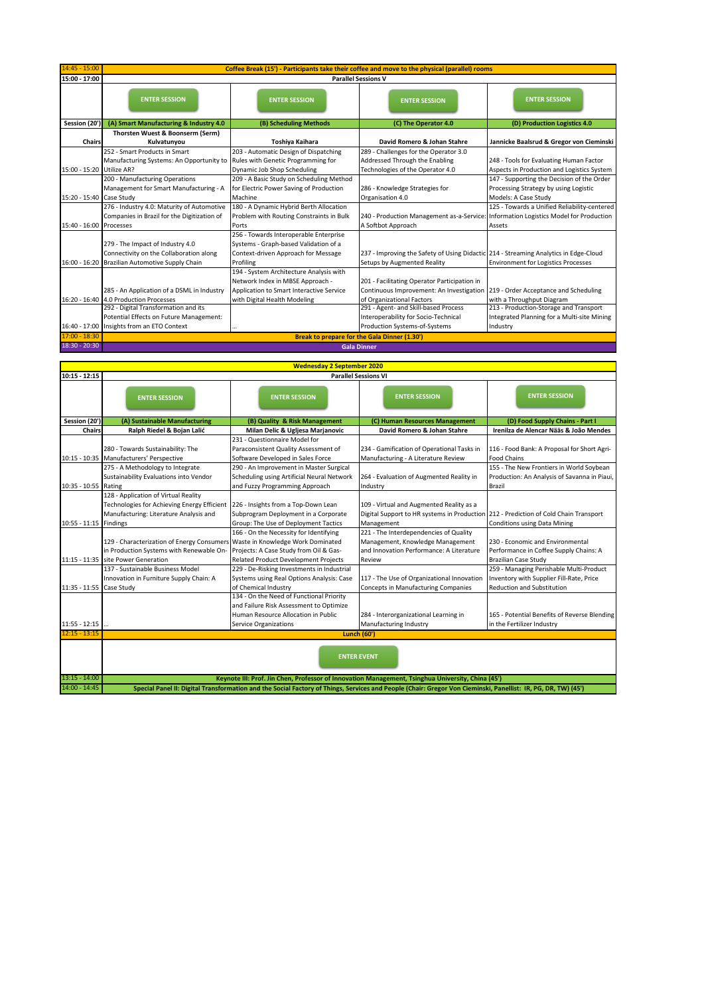| $14:45 - 15:00$           | Coffee Break (15') - Participants take their coffee and move to the physical (parallel) rooms |                                          |                                                                                      |                                              |
|---------------------------|-----------------------------------------------------------------------------------------------|------------------------------------------|--------------------------------------------------------------------------------------|----------------------------------------------|
| 15:00 - 17:00             | <b>Parallel Sessions V</b>                                                                    |                                          |                                                                                      |                                              |
|                           | <b>ENTER SESSION</b>                                                                          | <b>ENTER SESSION</b>                     | <b>ENTER SESSION</b>                                                                 | <b>ENTER SESSION</b>                         |
| Session (20')             | (A) Smart Manufacturing & Industry 4.0                                                        | (B) Scheduling Methods                   | (C) The Operator 4.0                                                                 | (D) Production Logistics 4.0                 |
|                           | Thorsten Wuest & Boonserm (Serm)                                                              |                                          |                                                                                      |                                              |
| <b>Chairs</b>             | Kulvatunyou                                                                                   | Toshiya Kaihara                          | David Romero & Johan Stahre                                                          | Jannicke Baalsrud & Gregor von Cieminski     |
|                           | 252 - Smart Products in Smart                                                                 | 203 - Automatic Design of Dispatching    | 289 - Challenges for the Operator 3.0                                                |                                              |
|                           | Manufacturing Systems: An Opportunity to                                                      | Rules with Genetic Programming for       | Addressed Through the Enabling                                                       | 248 - Tools for Evaluating Human Factor      |
| 15:00 - 15:20 Utilize AR? |                                                                                               | Dynamic Job Shop Scheduling              | Technologies of the Operator 4.0                                                     | Aspects in Production and Logistics System   |
|                           | 200 - Manufacturing Operations                                                                | 209 - A Basic Study on Scheduling Method |                                                                                      | 147 - Supporting the Decision of the Order   |
|                           | Management for Smart Manufacturing - A                                                        | for Electric Power Saving of Production  | 286 - Knowledge Strategies for                                                       | Processing Strategy by using Logistic        |
| 15:20 - 15:40 Case Study  |                                                                                               | Machine                                  | Organisation 4.0                                                                     | Models: A Case Study                         |
|                           | 276 - Industry 4.0: Maturity of Automotive                                                    | 180 - A Dynamic Hybrid Berth Allocation  |                                                                                      | 125 - Towards a Unified Reliability-centered |
|                           | Companies in Brazil for the Digitization of                                                   | Problem with Routing Constraints in Bulk | 240 - Production Management as-a-Service: Information Logistics Model for Production |                                              |
| 15:40 - 16:00             | Processes                                                                                     | Ports                                    | A Softbot Approach                                                                   | Assets                                       |
|                           |                                                                                               | 256 - Towards Interoperable Enterprise   |                                                                                      |                                              |
|                           | 279 - The Impact of Industry 4.0                                                              | Systems - Graph-based Validation of a    |                                                                                      |                                              |
|                           | Connectivity on the Collaboration along                                                       | Context-driven Approach for Message      | 237 - Improving the Safety of Using Didactic 214 - Streaming Analytics in Edge-Cloud |                                              |
|                           | 16:00 - 16:20 Brazilian Automotive Supply Chain                                               | Profiling                                | Setups by Augmented Reality                                                          | <b>Environment for Logistics Processes</b>   |
|                           |                                                                                               | 194 - System Architecture Analysis with  |                                                                                      |                                              |
|                           |                                                                                               | Network Index in MBSE Approach -         | 201 - Facilitating Operator Participation in                                         |                                              |
|                           | 285 - An Application of a DSML in Industry                                                    | Application to Smart Interactive Service | Continuous Improvement: An Investigation   219 - Order Acceptance and Scheduling     |                                              |
|                           | 16:20 - 16:40 4.0 Production Processes                                                        | with Digital Health Modeling             | of Organizational Factors                                                            | with a Throughput Diagram                    |
|                           | 292 - Digital Transformation and its                                                          |                                          | 291 - Agent- and Skill-based Process                                                 | 213 - Production-Storage and Transport       |
|                           | Potential Effects on Future Management:                                                       |                                          | Interoperability for Socio-Technical                                                 | Integrated Planning for a Multi-site Mining  |
|                           | 16:40 - 17:00 Insights from an ETO Context                                                    |                                          | Production Systems-of-Systems                                                        | Industry                                     |
| $17:00 - 18:30$           | <b>Break to prepare for the Gala Dinner (1.30')</b>                                           |                                          |                                                                                      |                                              |
| $18:30 - 20:30$           | <b>Gala Dinner</b>                                                                            |                                          |                                                                                      |                                              |

| <b>Wednesday 2 September 2020</b> |                                                                                                                                                                               |                                                                                                                                                            |                                                                                                       |                                                                                                                          |
|-----------------------------------|-------------------------------------------------------------------------------------------------------------------------------------------------------------------------------|------------------------------------------------------------------------------------------------------------------------------------------------------------|-------------------------------------------------------------------------------------------------------|--------------------------------------------------------------------------------------------------------------------------|
| $10:15 - 12:15$                   | <b>Parallel Sessions VI</b>                                                                                                                                                   |                                                                                                                                                            |                                                                                                       |                                                                                                                          |
|                                   | <b>ENTER SESSION</b>                                                                                                                                                          | <b>ENTER SESSION</b>                                                                                                                                       | <b>ENTER SESSION</b>                                                                                  | <b>ENTER SESSION</b>                                                                                                     |
| Session (20')                     | (A) Sustainable Manufacturing                                                                                                                                                 | (B) Quality & Risk Management                                                                                                                              | (C) Human Resources Management                                                                        | (D) Food Supply Chains - Part I                                                                                          |
| <b>Chairs</b>                     | Ralph Riedel & Bojan Lalić                                                                                                                                                    | Milan Delic & Ugljesa Marjanovic                                                                                                                           | David Romero & Johan Stahre                                                                           | Irenilza de Alencar Nääs & João Mendes                                                                                   |
|                                   | 280 - Towards Sustainability: The<br>10:15 - 10:35 Manufacturers' Perspective                                                                                                 | 231 - Questionnaire Model for<br>Paraconsistent Quality Assessment of<br>Software Developed in Sales Force                                                 | 234 - Gamification of Operational Tasks in<br>Manufacturing - A Literature Review                     | 116 - Food Bank: A Proposal for Short Agri-<br><b>Food Chains</b>                                                        |
|                                   | 275 - A Methodology to Integrate                                                                                                                                              | 290 - An Improvement in Master Surgical                                                                                                                    |                                                                                                       | 155 - The New Frontiers in World Soybean                                                                                 |
| $10:35 - 10:55$                   | Sustainability Evaluations into Vendor<br>Rating                                                                                                                              | Scheduling using Artificial Neural Network<br>and Fuzzy Programming Approach                                                                               | 264 - Evaluation of Augmented Reality in<br>Industry                                                  | Production: An Analysis of Savanna in Piaui,<br><b>Brazil</b>                                                            |
| $10:55 - 11:15$                   | 128 - Application of Virtual Reality<br>Technologies for Achieving Energy Efficient 226 - Insights from a Top-Down Lean<br>Manufacturing: Literature Analysis and<br>Findings | Subprogram Deployment in a Corporate<br>Group: The Use of Deployment Tactics                                                                               | 109 - Virtual and Augmented Reality as a<br>Digital Support to HR systems in Production<br>Management | 212 - Prediction of Cold Chain Transport<br><b>Conditions using Data Mining</b>                                          |
|                                   |                                                                                                                                                                               | 166 - On the Necessity for Identifying                                                                                                                     | 221 - The Interdependencies of Quality                                                                |                                                                                                                          |
|                                   | 129 - Characterization of Energy Consumers Waste in Knowledge Work Dominated<br>in Production Systems with Renewable On-                                                      | Projects: A Case Study from Oil & Gas-                                                                                                                     | Management, Knowledge Management<br>and Innovation Performance: A Literature                          | 230 - Economic and Environmental<br>Performance in Coffee Supply Chains: A                                               |
|                                   | 11:15 - 11:35 site Power Generation                                                                                                                                           | <b>Related Product Development Projects</b>                                                                                                                | Review                                                                                                | <b>Brazilian Case Study</b>                                                                                              |
|                                   | 137 - Sustainable Business Model<br>Innovation in Furniture Supply Chain: A<br>Case Study                                                                                     | 229 - De-Risking Investments in Industrial<br>Systems using Real Options Analysis: Case<br>of Chemical Industry                                            | 117 - The Use of Organizational Innovation<br><b>Concepts in Manufacturing Companies</b>              | 259 - Managing Perishable Multi-Product<br>Inventory with Supplier Fill-Rate, Price<br><b>Reduction and Substitution</b> |
| 11:35 - 11:55<br>$11:55 - 12:15$  |                                                                                                                                                                               | 134 - On the Need of Functional Priority<br>and Failure Risk Assessment to Optimize<br>Human Resource Allocation in Public<br><b>Service Organizations</b> | 284 - Interorganizational Learning in<br>Manufacturing Industry                                       | 165 - Potential Benefits of Reverse Blending<br>in the Fertilizer Industry                                               |
| $12:15 - 13:15$                   |                                                                                                                                                                               |                                                                                                                                                            |                                                                                                       |                                                                                                                          |
|                                   | <b>Lunch (60')</b><br><b>ENTER EVENT</b>                                                                                                                                      |                                                                                                                                                            |                                                                                                       |                                                                                                                          |
| $13:15 - 14:00$                   | Keynote III: Prof. Jin Chen, Professor of Innovation Management, Tsinghua University, China (45')                                                                             |                                                                                                                                                            |                                                                                                       |                                                                                                                          |
| 14:00 - 14:45                     | Special Panel II: Digital Transformation and the Social Factory of Things, Services and People (Chair: Gregor Von Cieminski, Panellist: IR, PG, DR, TW) (45')                 |                                                                                                                                                            |                                                                                                       |                                                                                                                          |